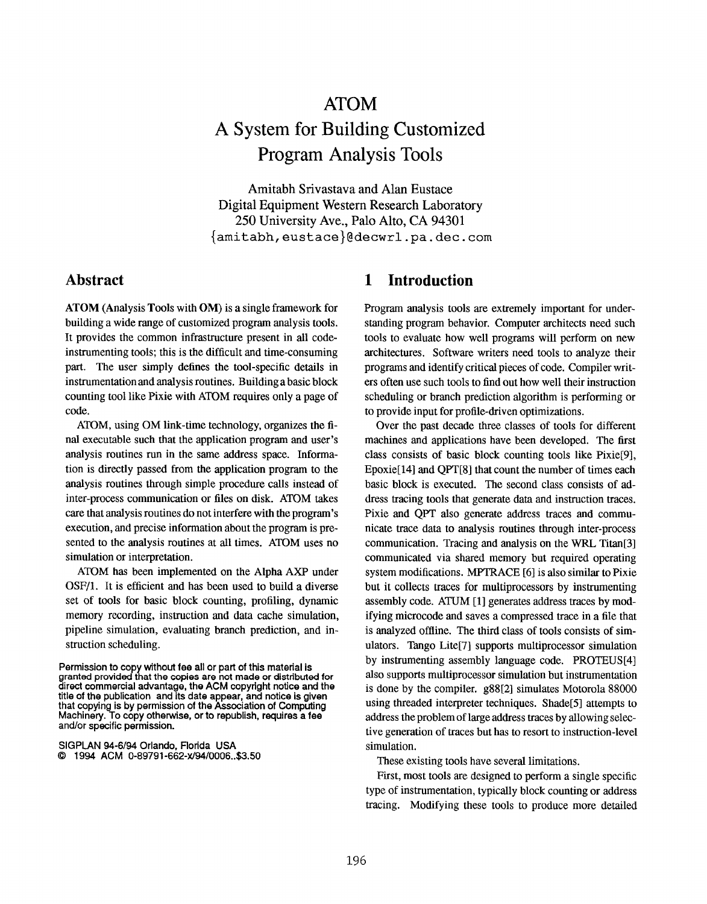# ATOM A System for Building Customized Program Analysis Tools

Amitabh Srivastava and Alan Eustace Digital Equipment Western Research Laboratory 250 University Ave., Palo Alto, CA 94301 {amitabh, eustace}(!decwrl .pa. dec. com

#### Abstract

ATOM (Analysis Tools with OM) is a single framework for building a wide range of customized program analysis tools. It provides the common infrastructure present in all codeinstrumenting tools; this is the difficult and time-consuming part. The user simply defines the tool-specific details in instrumentation and analysis routines. Building a basic block counting tool like Pixie with ATOM requires only a page of code.

ATOM, using OM link-time technology, organizes the final executable such that the application program and user's analysis routines run in the same address space. Information is directly passed from the application program to the analysis routines through simple procedure calls instead of inter-process communication or files on disk. ATOM takes care that anatysis routines do not interfere with the program's execution, and precise information about the program is presented to the analysis routines at all times. ATOM uses no simulation or interpretation.

ATOM has been implemented on the Alpha AXP under OSF/1. It is efficient and has been used to build a diverse set of tools for basic block counting, profiling, dynamic memory recording, instruction and data cache simulation, pipeline simulation, evaluating branch prediction, and instruction scheduling.

SIGPLAN 94-6/94 Orlando, Florida USA Q 1994 ACM 0-89791 -662-xJ9410006..\$3.5O

#### 1 Introduction

Program analysis tools are extremely important for understanding program behavior. Computer architects need such tools to evaluate how well programs will perform on new architectures. Software writers need tools to analyze their programs and identify critical pieces of code. Compiler writers often use such tools to find out how well their instruction scheduling or branch prediction atgorithm is performing or to provide input for profile-driven optimizations.

Over the past decade three classes of tools for different machines and applications have been developed. The first class consists of basic block counting tools like Pixie[9], Epoxie[14] and QPT[8] that count the number of times each basic block is executed. The second class consists of address tracing tools that generate data and instruction traces. Pixie and QPT also generate address traces and communicate trace data to analysis routines through inter-process communication. Tracing and analysis on the WRL Titan<sup>[3]</sup> communicated via shared memory but required operating system modifications. MPTRACE [6] is also similar to Pixie but it collects traces for multiprocessors by instrumenting assembly code. ATUM [1] generates address traces by modifying microcode and saves a compressed trace in a file that is analyzed offline. The third class of tools consists of simulators. Tango Lite[7] supports multiprocessor simulation by instrumenting assembly language code. PROTEUS[4] also supports multiprocessor simulation but instrumentation is done by the compiler. g88[2] simulates Motorola 88000 using threaded interpreter techniques. Shade[5] attempts to address the problem of large address traces by allowing selective generation of traces but has to resort to instruction-level simulation.

These existing tools have several limitations.

First, most tools are designed to perform a single specific type of instrumentation, typically block counting or address tracing. Modifying these tools to produce more detailed

Permission to copy without fee all or part of this material is granted provided that the copies are not made or distributed for direct commercial advantage, the ACM copyright notice and the title of the publication and its date appear, and notice is given that copying is by permission of the Association of Computing Machinery. To copy otherwise, or to republish, requires a fee and/or specific permission.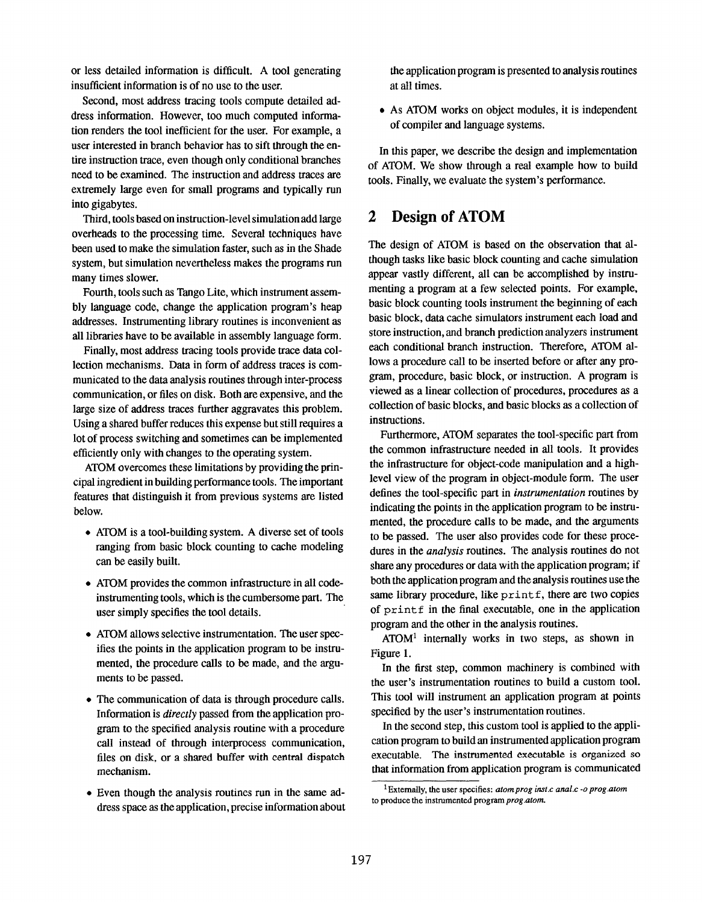or less detailed information is difficult. A tool generating insufficient information is of no use to the user.

Second, most address tracing tools compute detailed address information. However, too much computed information renders the tool inefficient for the user. For example, a user interested in branch behavior has to sift through the entire instruction trace, even though only conditional branches need to be examined. The instruction and address traces are extremely large even for small programs and typically run into gigabytes.

Third, tools based on instruction-level simulation add large overheads to the processing time. Several techniques have been used to make the simulation faster, such as in the Shade system, but simulation nevertheless makes the programs run many times slower.

Fourth, tools such as Tango Lite, which instrument assembly language code, change the application program's heap addresses. Instrumenting library routines is inconvenient as all libraries have to be available in assembly language form.

Finally, most address tracing tools provide trace data collection mechanisms. Data in form of address traces is communicated to the data analysis routines through inter-process communication, or files on disk, Both are expensive, and the large size of address traces further aggravates this problem. Using a shared buffer reduces this expense but still requires a lot of process switching and sometimes can be implemented efficiently only with changes to the operating system.

ATOM overcomes these limitations by providing the principal ingredient in building performance tools. The important features that distinguish it from previous systems are listed below.

- ATOM is a tool-building system. A diverse set of tools ranging from basic block counting to cache modeling can be easily built.
- ATOM provides the common infrastructure in all codeinstrumenting tools, which is the cumbersome part. The user simply specifies the tool details.
- ATOM allows selective instrumentation. The user specifies the points in the application program to be instrumented, the procedure calls to be made, and the arguments to be passed.
- The communication of data is through procedure calls. Information is directly passed from the application program to the specified analysis routine with a procedure call instead of through interprocess communication, files on disk, or a shared buffer with central dispatch mechanism.
- Even though the analysis routines run in the same address space as the application, precise information about

the application program is presented to analysis routines at all times.

• As ATOM works on object modules, it is independent of compiler and language systems.

In this paper, we describe the design and implementation of ATOM. We show through a real example how to build tools. Finally, we evaluate the system's performance.

## 2 Design of ATOM

The design of ATOM is based on the observation that although tasks like basic block counting and cache simulation appear vastly different, all can be accomplished by instrumenting a program at a few selected points. For example, basic block counting tools instrument the beginning of each basic block, data cache simulators instrument each load and store instruction, and branch prediction analyzers instrument each conditional branch instruction. Therefore, ATOM allows a procedure call to be inserted before or after any program, procedure, basic block, or instruction. A program is viewed as a linear collection of procedures, procedures as a collection of basic blocks, and basic blocks as a collection of instructions.

Furthermore, ATOM separates the tool-specific part from the common infrastructure needed in all tools. It provides the infrastructure for object-code manipulation and a highlevel view of the program in object-module form. The user defines the tool-specific part in instrumentation routines by indicating the points in the application program to be instrumented, the procedure calls to be made, and the arguments to be passed. The user also provides code for these procedures in the *analysis* routines. The analysis routines do not share any procedures or data with the application program; if both the application program and the analysis routines use the same library procedure, like printf, there are two copies of print f in the final executable, one in the application program and the other in the analysis routines.

 $ATOM<sup>1</sup>$  internally works in two steps, as shown in Figure 1.

In the first step, common machinery is combined with the user's instrumentation routines to build a custom tool. This tool will instrument an application program at points specified by the user's instrumentation routines.

In the second step, this custom tool is applied to the application program to build an instrumented application program executable. The instrumented executable is organized so that information from application program is communicated

<sup>&</sup>lt;sup>1</sup> Externally, the user specifies: atom prog inst.c anal.c -o prog.atom to produce the instrumented program prog.atom.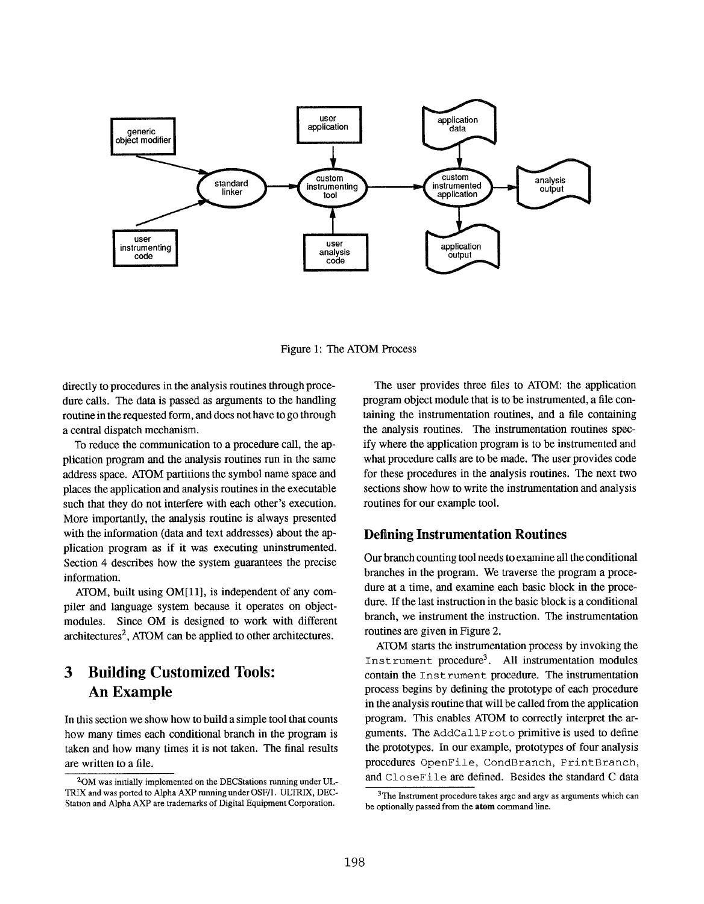

Figure 1: The ATOM Process

directly to procedures in the analysis routines through procedure calls. The data is passed as arguments to the handling routine in the requested form, and does not have to go through a central dispatch mechanism.

To reduce the communication to a procedure call, the application program and the analysis routines run in the same address space. ATOM partitions the symbol name space and places the application and analysis routines in the executable such that they do not interfere with each other's execution. More importantly, the analysis routine is always presented with the information (data and text addresses) about the application program as if it was executing uninstrumented. Section 4 describes how the system guarantees the precise information.

ATOM, built using OM[l 1], is independent of any compiler and language system because it operates on objectmodules. Since OM is designed to work with different  $architectures<sup>2</sup>$ , ATOM can be applied to other architectures.

# 3 Building Customized Tools: An Example

In this section we show how to build a simple tool that counts how many times each conditional branch in the program is taken and how many times it is not taken. The final results are written to a file.

The user provides three files to ATOM: the application program object module that is to be instrumented, a file containing the instrumentation routines, and a file containing the analysis routines. The instrumentation routines specify where the application program is to be instrumented and what procedure calls are to be made. The user provides code for these procedures in the analysis routines. The next two sections show how to write the instrumentation and analysis routines for our example tool.

#### Defhing Instrumentation Routines

Our branch counting tool needs to examine all the conditional branches in the program. We traverse the program a procedure at a time, and examine each basic block in the procedure. If the last instruction in the basic block is a conditional branch, we instrument the instruction. The instrumentation routines are given in Figure 2.

ATOM starts the instrumentation process by invoking the Instrument procedure<sup>3</sup>. All instrumentation modules contain the Instrument procedure. The instrumentation process begins by defining the prototype of each procedure in the analysis routine that will be called from the application program. This enables ATOM to correctly interpret the arguments. The AddCal 1P rot o primitive is used to define the prototypes. In our example, prototypes of four analysis procedures OpenFile, CondBranch, PrintBranch, and CloseFile are defined. Besides the standard C data

 $2$ OM was initially implemented on the DECStations running under UL-TRIX and was ported to Alpha AXP running under OSF/1. ULTRIX, DEC-Station and Alpha AXP are trademarks of Digital Equipment Corporation.

 $3$ The Instrument procedure takes argc and argv as arguments which can be optionally passed from the atom command line.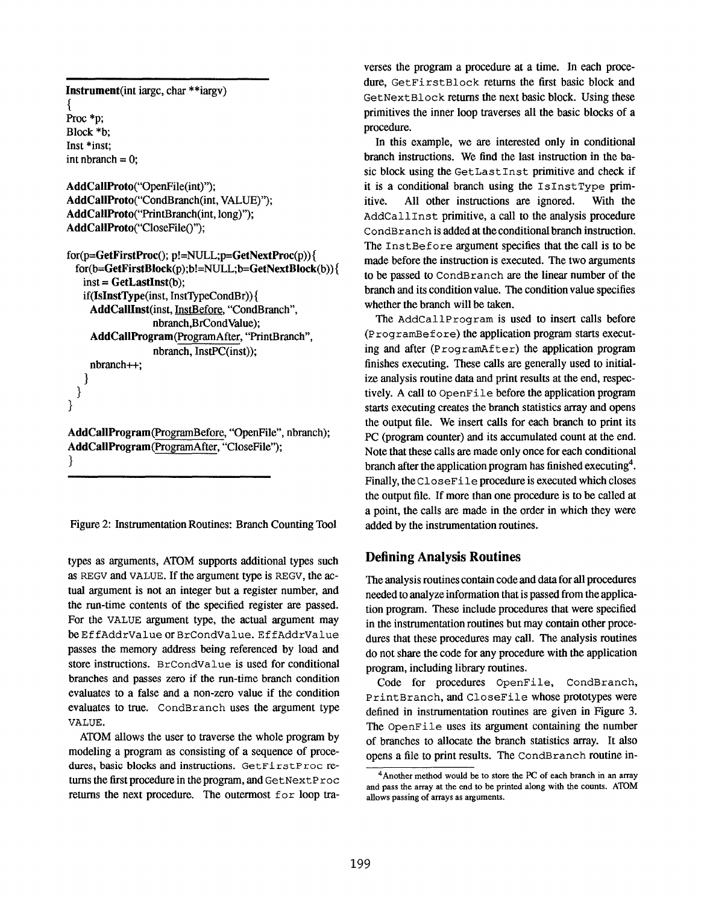```
Instrument(int iargc, char **iargv)
{
Proc *p;
Block *b;
Inst *inst:
int nbranch = 0;
```
AddCaBProto(''OpenFile(int)"); AddCallProto("CondBranch(int, VALUE)"); AddCallProto("PrintBranch(int, long)"); AddCallProto("CloseFile()");

```
for(p=GetFirstProc(); p!= NULL; p=GetNextProc(p))for(b=GetFirstBlock(p) ;b!=NULL;b=GetNextBlock(b)){
   inst = GetLastInst(b);if(IsInstType(inst, InstTypeCondBr)){
    AddCallInst(inst, InstBefore, "CondBranch",
                 nbranch,BrCondValue);
    AddCallProgram(ProgramAfter, "PrintBranch",
                 nbranch, InstPC(inst));
    nbranch++;
   )
 }
```
AddCallProgram(ProgramBefore, "OpenFile", nbranch); AddCallProgram(ProgramAfter, "CloseFile"); }

}

Figure 2: Instrumentation Routines: Branch Counting Tool

types as arguments, ATOM supports additional types such as REGV and VALUE. If the argument type is REGV, the actual argument is not an integer but a register number, and the run-time contents of the specified register are passed. For the VALUE argument type, the actual argument may be Ef fAddrValue or BrCondValue. Ef fAddrValue passes the memory address being referenced by load and store instructions. BrCondValue is used for conditional branches and passes zero if the run-time branch condition evaluates to a false and a non-zero value if the condition evaluates to true. CondBranch uses the argument type VALUE.

ATOM atlows the user to traverse the whole program by modeling a program as consisting of a sequence of procedures, basic blocks and instructions. GetFirstProc returns the first procedure in the program, and Get Next P roc returns the next procedure. The outermost for loop traverses the program a procedure at a time. In each procedure, GetFirstBlock returns the first basic block and GetNext Block returns the next basic block. Using these primitives the inner loop traverses all the basic blocks of a procedure.

In this example, we are interested only in conditional branch instructions. We find the last instruction in the basic block using the Get Last Inst primitive and check if it is a conditional branch using the  $I$ s $In$ s $t$ Type primitive. All other instructions are ignored. With the AddCall Inst primitive, a call to the analysis procedure CondBranch is added at the conditional branch instruction. The Inst Before argument specifies that the call is to be made before the instruction is executed. The two arguments to be passed to CondBranch are the linear number of the branch and its condition value. The condition vatue specifies whether the branch will be taken.

The AddCallProgram is used to insert calls before (programBef ore) the application program starts executing and after  $(ProgramAfter)$  the application program finishes executing. These calls are generally used to initialize analysis routine data and print results at the end, respectively. A catl to OpenFi le before the application program starts executing creates the branch statistics array and opens the output file. We insert calls for each branch to print its PC (program counter) and its accumulated count at the end. Note that these calls are made only once for each conditional branch after the application program has finished executing<sup>4</sup>. Finally, the CloseFile procedure is executed which closes the output file. If more than one procedure is to be called at a point, the calls are made in the order in which they were added by the instrumentation routines.

#### Defining Analysis Routines

The anatysis routines contain code and data for all procedures needed to analyze information that is passed from the application program. These include procedures that were specified in the instrumentation routines but may contain other procedures that these procedures may call. The analysis routines do not share the code for any procedure with the application program, including library routines.

Code for procedures OpenFile, CondBranch, PrintBranch, and CloseFile whose prototypes were defined in instrumentation routines are given in Figure 3. The OpenFile uses its argument containing the number of branches to atlocate the branch statistics array. It also opens a file to print results. The CondBranch routine in-

 $4$ Another method would be to store the PC of each branch in an array and pass the array at the end to be printed along with the counts. ATOM allows passing of arrays as arguments.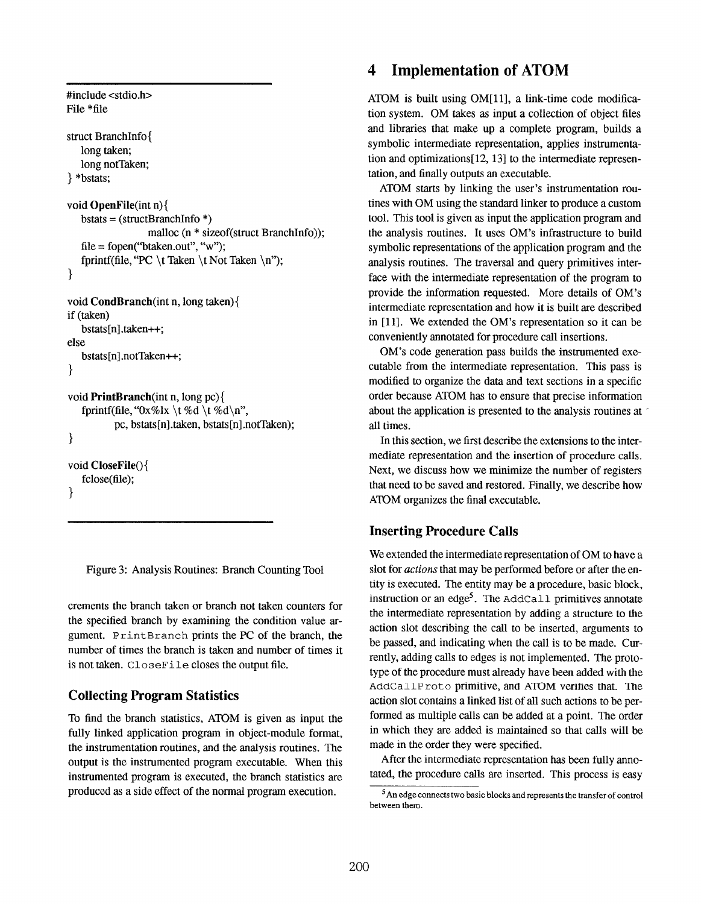```
#include <stdio.h>
File *file
struct BranchInfo{
   long taken;
   long notTaken;
} *bstats;
void OpenFile(int n){
   bstats = (structBranchInfo *)malloc (n * sizeof(struct BranchInfo));
   file = fopen("btaken.out", "w");fprintf(file, "PC \t Taken \t Not Taken \n");
}
void CondBranch(int n, long taken){
if (taken)
   bstats[n].taken++;else
   bstats[n] .notTaken++;
}
void PrintBranch(int n, long pc){
   fprintf(file, "0x\%lx \t %d \t %d\n",
          PC, bstats[n].taken, bstats[n].notTaken);
}
void CloseFile(){
   fclose(file);
}
```
Figure 3: Analysis Routines: Branch Counting Tool

crements the branch taken or branch not taken counters for the specified branch by examining the condition value argument. Print Branch prints the PC of the branch, the number of times the branch is taken and number of times it is not taken. CloseFi.le closes the output file.

### Collecting Program Statistics

To find the branch statistics, ATOM is given as input the fully linked application program in object-module format, the instrumentation routines, and the analysis routines. The output is the instrumented program executable. When this instrumented program is executed, the branch statistics are produced as a side effect of the normal program execution.

# 4 Implementation of ATOM

ATOM is built using OM[11], a link-time code modification system. OM takes as input a collection of object files and libraries that make up a complete program, builds a symbolic intermediate representation, applies instrumentation and optimizations[12, 13] to the intermediate representation, and finally outputs an executable.

ATOM starts by linking the user's instrumentation routines with OM using the standard linker to produce a custom tool. This tool is given as input the application program and the analysis routines. It uses OM'S infrastructure to build symbolic representations of the application program and the analysis routines. The traversal and query primitives interface with the intermediate representation of the program to provide the information requested. More details of OM'S intermediate representation and how it is built are described in [11]. We extended the OM'S representation so it can be conveniently annotated for procedure call insertions.

OM'S code generation pass builds the instrumented executable from the intermediate representation. This pass is modified to organize the data and text sections in a specific order because ATOM has to ensure that precise information about the application is presented to the analysis routines at all times.

In this section, we first describe the extensions to the intermediate representation and the insertion of procedure calls. Next, we discuss how we minimize the number of registers that need to be saved and restored. Finally, we describe how ATOM organizes the final executable.

### Inserting Procedure Calls

We extended the intermediate representation of OM to have a slot for actions that may be performed before or after the entity is executed. The entity maybe a procedure, basic block, instruction or an edge<sup>5</sup>. The AddCall primitives annotate the intermediate representation by adding a structure to the action slot describing the call to be inserted, arguments to be passed, and indicating when the call is to be made. Currently, adding calls to edges is not implemented. The prototype of the procedure must already have been added with the AddCallProto primitive, and ATOM verifies that. The action slot contains a linked list of all such actions to be performed as multiple calls can be added at a point. The order in which they are added is maintained so that calls will be made in the order they were specified.

After the intermediate representation has been fully annotated, the procedure calls are inserted. This process is easy

 $5$  An edge connects two basic blocks and represents the transfer of control between them.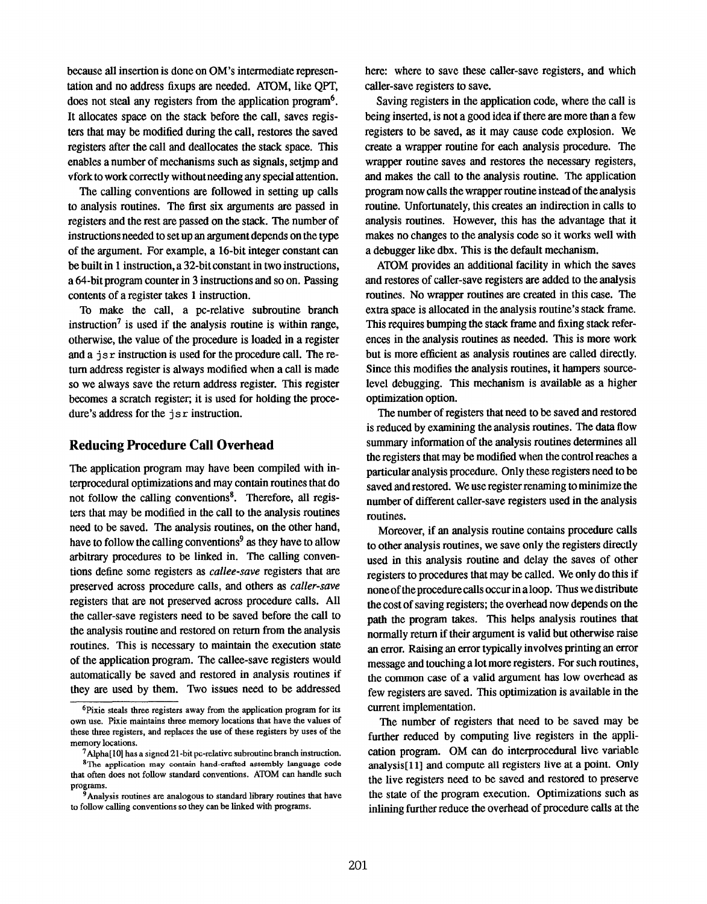because all insertion is done on OM'S intermediate representation and no address fixups are needed. ATOM, like QPT, does not steal any registers from the application program<sup>6</sup>. It allocates space on the stack before the call, saves registers that may be modified during the call, restores the saved registers after the call and deallocates the stack space. This enables a number of mechanisms such as signals, setjmp and vfork to work correctly without needing any special attention.

The calling conventions are followed in setting up calls to analysis routines. The first six arguments are passed in registers and the rest are passed on the stack. The number of instructions needed to setup an argument depends on the type of the argument. For example, a 16-bit integer constant can be built in 1 instruction, a 32-bit constant in two instructions, a 64-bit program counter in 3 instructions and so on. Passing contents of a register takes 1 instruction.

To make the call, a pc-relative subroutine branch instruction<sup>7</sup> is used if the analysis routine is within range, otherwise, the value of the procedure is loaded in a register and a  $\exists s \, r$  instruction is used for the procedure call. The return address register is always modified when a call is made so we always save the return address register. This register becomes a scratch register; it is used for holding the procedure's address for the  $\exists s \, r$  instruction.

#### Reducing Procedure Call Overhead

The application program may have been compiled with interprocedural optimizations and may contain routines that do not follow the calling conventions<sup>8</sup>. Therefore, all registers that may be modified in the call to the analysis routines need to be saved, The analysis routines, on the other hand, have to follow the calling conventions<sup>9</sup> as they have to allow arbitrary procedures to be linked in. The calling conventions define some registers as callee-save registers that are preserved across procedure calls, and others as caller-save registers that are not preserved across procedure calls. All the caller-save registers need to be saved before the call to the analysis routine and restored on return from the analysis routines. This is necessary to maintain the execution state of the application program. The callee-save registers would automatically be saved and restored in analysis routines if they are used by them. Two issues need to be addressed here: where to save these caller-save registers, and which caller-save registers to save.

Saving registers in the application code, where the call is being inserted, is not a good idea if there are more than a few registers to be saved, as it may cause code explosion. We create a wrapper routine for each analysis procedure. The wrapper routine saves and restores the necessary registers, and makes the call to the analysis routine. The application program now calls the wrapper routine instead of the analysis routine. Unfortunately, this creates an indirection in calls to analysis routines. However, this has the advantage that it makes no changes to the analysis code so it works well with a debugger like dbx. This is the default mechanism.

ATOM provides an additional facility in which the saves and restores of caller-save registers are added to the analysis routines. No wrapper routines are created in this case. The extra space is allocated in the analysis routine's stack frame. This requires bumping the stack frame and fixing stack references in the analysis routines as needed. This is more work but is more efficient as analysis routines are called directly. Since this modifies the analysis routines, it hampers sourcelevel debugging. This mechanism is available as a higher optimization option.

The number of registers that need to be saved and restored is reduced by examining the analysis routines. The data flow summary information of the analysis routines determines all the registers that may be modified when the control reaches a particular analysis procedure. Only these registers need to be saved and restored. We use register renaming to minimize the number of different caller-save registers used in the analysis routines.

Moreover, if an analysis routine contains procedure calls to other analysis routines, we save only the registers directly used in this analysis routine and delay the saves of other registers to procedures that maybe called. We only do this if none of the procedure calls occur in a loop. Thus we distribute the cost of saving registers; the overhead now depends on the path the program takes. This helps analysis routines that normally return if their argument is valid but otherwise raise an error. Raising an error typically involves printing an error message and touching a lot more registers. For such routines, the common case of a vatid argument has low overhead as few registers are saved. This optimization is available in the current implementation.

The number of registers that need to be saved may be further reduced by computing live registers in the application program. OM can do interprocedural live variable anatysis[l 1] and compute all registers live at a point. Only the live registers need to be saved and restored to preserve the state of the program execution. Optimizations such as inlining further reduce the overhead of procedure calls at the

 $6$ Pixie steals three registers away from the application program for its own use. Pixie maintains three memory locations that have the values of these three registers, and replaces the use of these registers by uses of the memory locations.

 $7$ Alpha[10] has a signed 21-bit pc-relative subroutine branch instruction.

<sup>&</sup>lt;sup>8</sup>The application may contain hand-crafted assembly language code that often does not follow standard conventions. ATOM can handle such programs.

 $^3$ Analysis routines are analogous to standard library routines that have to follow calling conventions so they can be linked wirb progrants.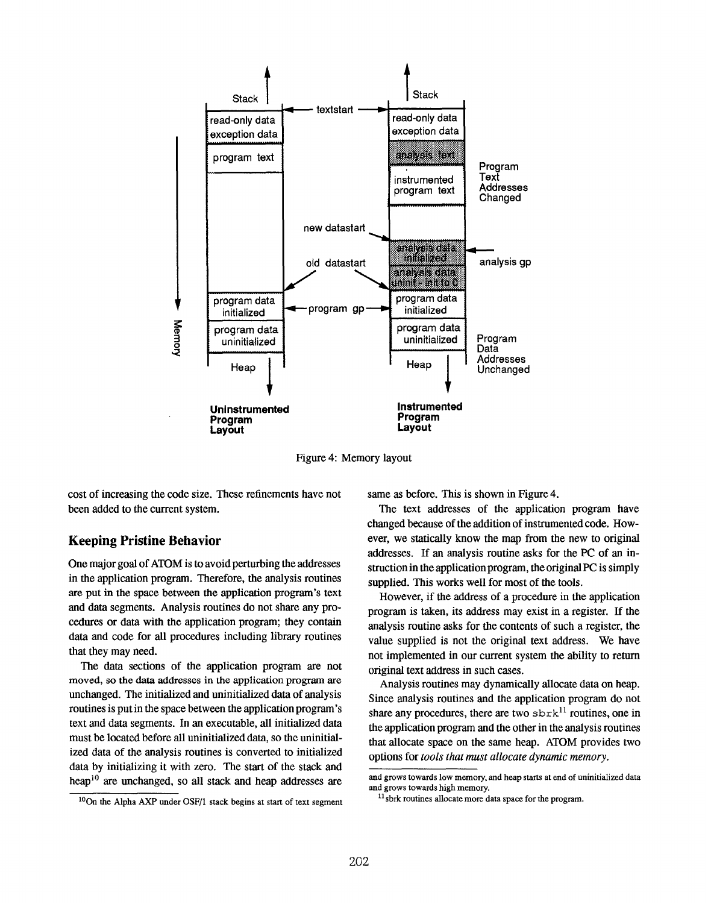

Figure 4: Memory layout

cost of increasing the code size. These refinements have not been added to the current system.

#### Keeping Pristine Behavior

One major goal of ATOM is to avoid perturbing the addresses in the application program. Therefore, the analysis routines are put in the space between the application program's text and data segments. Analysis routines do not share any procedures or data with the application program; they contain data and code for all procedures including library routines that they may need.

The data sections of the application program are not moved, so the data addresses in the application program are unchanged. The initialized and uninitialized data of analysis routines is put in the space between the application program's text and data segments. In an executable, all initialized data must be located before all uninitialized data, so the uninitialized data of the analysis routines is converted to initialized data by initializing it with zero. The start of the stack and heap<sup>10</sup> are unchanged, so all stack and heap addresses are

 $10$ On the Alpha AXP under OSF/1 stack begins at start of text segment

same as before. This is shown in Figure 4.

The text addresses of the application program have changed because of the addition of instrumented code. However, we statically know the map from the new to original addresses. If an analysis routine asks for the PC of an instruction in the application program, the original PC is simply supplied. This works well for most of the tools.

However, if the address of a procedure in the application program is taken, its address may exist in a register. If the analysis routine asks for the contents of such a register, the value supplied is not the original text address. We have not implemented in our current system the ability to return original text address in such cases.

Analysis routines may dynamically allocate data on heap. Since analysis routines and the application program do not share any procedures, there are two  $\text{strk}^{11}$  routines, one in the application program and the other in the analysis routines that atlocate space on the same heap. ATOM provides two options for tools that must allocate dynamic memory.

and grows towards low memory, and heap starts at end of uninitialized data and grows towards high memory.

 $11$  sbrk routines allocate more data space for the program.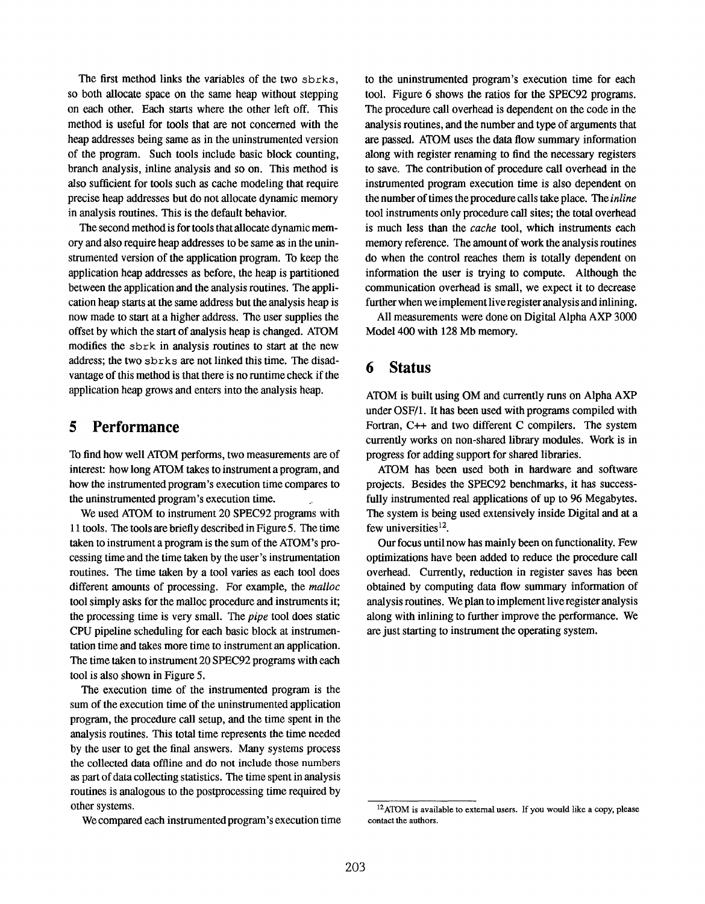The first method links the variables of the two sbrks, so both allocate space on the same heap without stepping on each other. Each starts where the other left off. This method is useful for tools that are not concerned with the heap addresses being same as in the uninstrumented version of the program. Such tools include basic block counting, branch analysis, inline analysis and so on. This method is also sufficient for tools such as cache modeling that require precise heap addresses but do not allocate dynamic memory in analysis routines. This is the default behavior.

The second method is for tools that allocate dynamic memory and also require heap addresses to be same as in the uninstrumented version of the application program. To keep the application heap addresses as before, the heap is partitioned between the application and the analysis routines. The application heap starts at the same address but the analysis heap is now made to start at a higher address. The user supplies the offset by which the start of analysis heap is changed. ATOM modifies the sbrk in analysis routines to start at the new address; the two sbrks are not linked this time. The disadvantage of this method is that there is no runtime check if the application heap grows and enters into the analysis heap.

#### 5 Performance

To find how well ATOM performs, two measurements are of interest: how long ATOM takes to instrument a program, and how the instrumented program's execution time compares to the uninstrumented program's execution time.

We used ATOM to instrument 20 SPEC92 programs with 11 tools, The tools are briefly described in Figure 5. The time taken to instrument a program is the sum of the ATOM's processing time and the time taken by the user's instrumentation routines. The time taken by a tool varies as each tool does different amounts of processing. For example, the malloc tool simply asks for the malloc procedure and instruments it; the processing time is very small. The pipe tool does static CPU pipeline scheduling for each basic block at instrumentation time and takes more time to instrument an application. The time taken to instrument 20 SPEC92 programs with each tool is also shown in Figure 5.

The execution time of the instrumented program is the sum of the execution time of the uninstrumented application program, the procedure call setup, and the time spent in the analysis routines. This total time represents the time needed by the user to get the final answers. Many systems process the collected data offline and do not include those numbers as part of data collecting statistics. The time spent in analysis routines is analogous to the postprocessing time required by other systems.

We compared each instrumented program's execution time

to the uninstrumented program's execution time for each tool. Figure 6 shows the ratios for the SPEC92 programs. The procedure call overhead is dependent on the code in the analysis routines, and the number and type of arguments that are passed. ATOM uses the data flow summary information along with register renaming to find the necessary registers to save. The contribution of procedure call overhead in the instrumented program execution time is also dependent on the number of times the procedure calls take place. The inline tool instruments only procedure call sites; the total overhead is much less than the *cache* tool, which instruments each memory reference. The amount of work the analysis routines do when the control reaches them is totally dependent on information the user is trying to compute. Although the communication overhead is small, we expect it to decrease further when we implement live register analysis and inlining.

All measurements were done on Digital Alpha AXP 3000 Model 400 with 128 Mb memory.

## 6 Status

ATOM is built using OM and currently runs on Alpha AXP under OSF/1. It has been used with programs compiled with Fortran, C++ and two different C compilers. The system currently works on non-shared library modules. Work is in progress for adding support for shared libraries.

ATOM has been used both in hardware and software projects. Besides the SPEC92 benchmarks, it has successfully instrumented real applications of up to 96 Megabytes. The system is being used extensively inside Digital and at a few universities $12$ .

Our focus until now has mainly been on functionality. Few optimizations have been added to reduce the procedure call overhead. Currently, reduction in register saves has been obtained by computing data flow summary information of analysis routines. We plan to implement live register analysis along with inlining to further improve the performance. We are just starting to instrument the operating system.

<sup>&</sup>lt;sup>12</sup>ATOM is available to external users. If you would like a copy, please contact the authors.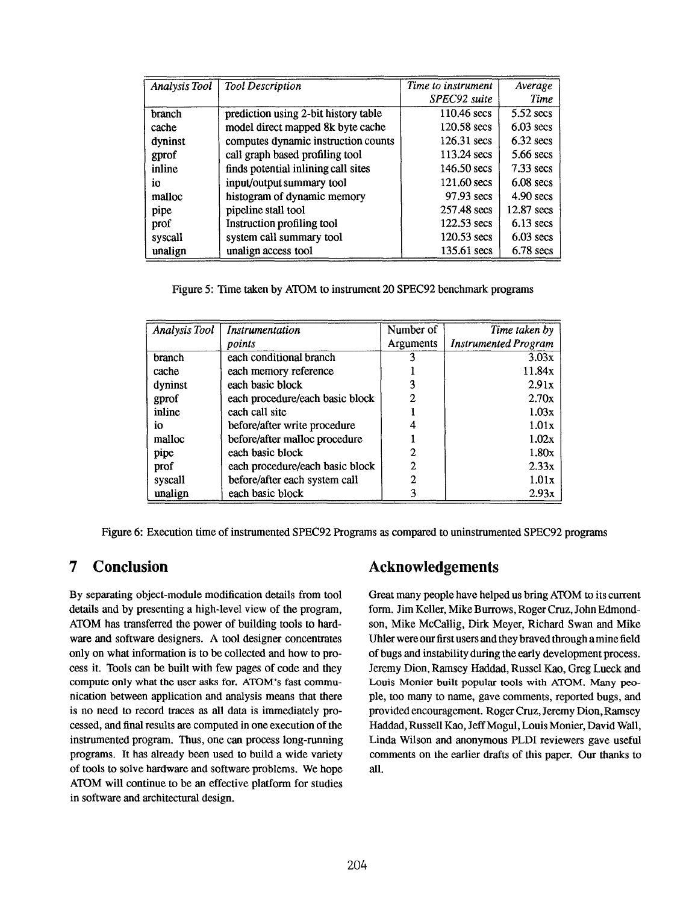| <b>Analysis Tool</b> | <b>Tool Description</b>              | Time to instrument    | Average     |
|----------------------|--------------------------------------|-----------------------|-------------|
|                      |                                      | SPEC92 suite          | <b>Time</b> |
| branch               | prediction using 2-bit history table | 110.46 secs           | $5.52$ secs |
| cache                | model direct mapped 8k byte cache    | 120.58 secs           | $6.03$ secs |
| dyninst              | computes dynamic instruction counts  | $126.31$ secs         | $6.32$ secs |
| gprof                | call graph based profiling tool      | 113.24 secs           | 5.66 secs   |
| inline               | finds potential inlining call sites  | $146.50 \text{ secs}$ | $7.33$ secs |
| 1O.                  | input/output summary tool            | 121.60 secs           | $6.08$ secs |
| malloc               | histogram of dynamic memory          | 97.93 secs            | $4.90$ secs |
| pipe                 | pipeline stall tool                  | 257.48 secs           | 12.87 secs  |
| prof                 | Instruction profiling tool           | 122.53 secs           | $6.13$ secs |
| syscall              | system call summary tool             | $120.53$ secs         | $6.03$ secs |
| unalign              | unalign access tool                  | 135.61 secs           | $6.78$ secs |

Figure 5: Time taken by ATOM to instrument 20 SPEC92 benchmark programs

| Analysis Tool | Instrumentation                 | Number of | Time taken by               |
|---------------|---------------------------------|-----------|-----------------------------|
|               | points                          | Arguments | <b>Instrumented Program</b> |
| branch        | each conditional branch         |           | 3.03x                       |
| cache         | each memory reference           |           | 11.84x                      |
| dyninst       | each basic block                |           | 2.91x                       |
| gprof         | each procedure/each basic block | 2         | 2.70x                       |
| inline        | each call site                  |           | 1.03x                       |
| İΩ            | before/after write procedure    |           | 1.01x                       |
| malloc        | before/after malloc procedure   |           | 1.02x                       |
| pipe          | each basic block                | 2         | 1.80x                       |
| prof          | each procedure/each basic block | 2         | 2.33x                       |
| syscall       | before/after each system call   | 2         | 1.01x                       |
| unalign       | each basic block                |           | 2.93x                       |

Figure 6: Execution time of instrumented SPEC92 Programs as compared to uninstrumented SPEC92 programs

## 7 Conclusion

By separating object-module modification details from tool details and by presenting a high-level view of the program, ATOM has transferred the power of building tools to hardware and software designers. A tool designer concentrates only on what information is to be collected and how to process it. Tools can be built with few pages of code and they compute only what the user asks for. ATOM's fast communication between application and analysis means that there is no need to record traces as all data is immediately processed, and final results are computed in one execution of the instrumented program. Thus, one can process long-running programs. It has already been used to build a wide variety of tools to solve hardware and software problems. We hope ATOM will continue to be an effective platform for studies in software and architectural design.

### Acknowledgements

Great many people have helped us bring ATOM to its current form. Jim Keller, Mike Burrows, Roger Cruz, John Edmondson, Mike McCallig, Dirk Meyer, Richard Swan and Mike Uhler were our first users and they braved through a mine field of bugs and instability during the early development process. Jeremy Dion, Ramsey Haddad, Russel Kao, Greg Lueck and Louis Monier built popular tools with ATOM. Many people, too many to name, gave comments, reported bugs, and provided encouragement. Roger Cruz, Jeremy Dion, Ramsey Haddad, Russell Kao, Jeff Mogul, Louis Monier, David Wall, Linda Wilson and anonymous PLDI reviewers gave useful comments on the earlier drafts of this paper. Our thanks to atl.